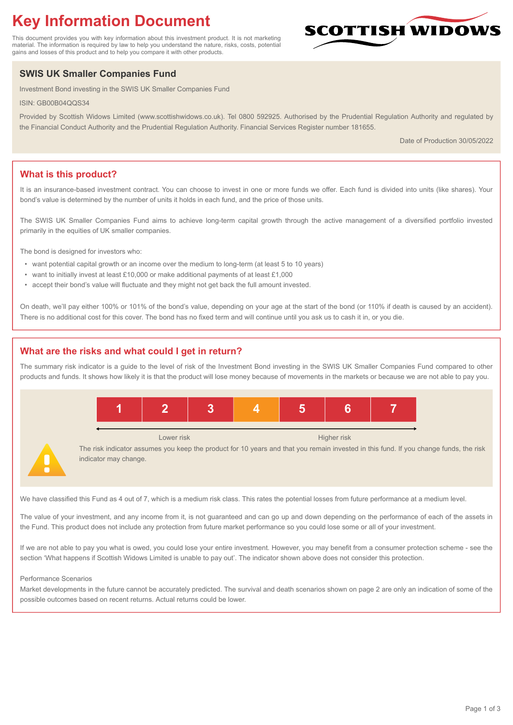# **Key Information Document**

This document provides you with key information about this investment product. It is not marketing material. The information is required by law to help you understand the nature, risks, costs, potential gains and losses of this product and to help you compare it with other products.

## **SWIS UK Smaller Companies Fund**

Investment Bond investing in the SWIS UK Smaller Companies Fund

ISIN: GB00B04QQS34

Provided by Scottish Widows Limited (www.scottishwidows.co.uk). Tel 0800 592925. Authorised by the Prudential Regulation Authority and regulated by the Financial Conduct Authority and the Prudential Regulation Authority. Financial Services Register number 181655.

Date of Production 30/05/2022

**SCOTTISH WIDOW** 

## **What is this product?**

It is an insurance-based investment contract. You can choose to invest in one or more funds we offer. Each fund is divided into units (like shares). Your bond's value is determined by the number of units it holds in each fund, and the price of those units.

The SWIS UK Smaller Companies Fund aims to achieve long-term capital growth through the active management of a diversified portfolio invested primarily in the equities of UK smaller companies.

The bond is designed for investors who:

- want potential capital growth or an income over the medium to long-term (at least 5 to 10 years)
- want to initially invest at least £10,000 or make additional payments of at least £1,000
- accept their bond's value will fluctuate and they might not get back the full amount invested.

On death, we'll pay either 100% or 101% of the bond's value, depending on your age at the start of the bond (or 110% if death is caused by an accident). There is no additional cost for this cover. The bond has no fixed term and will continue until you ask us to cash it in, or you die.

## **What are the risks and what could I get in return?**

The summary risk indicator is a guide to the level of risk of the Investment Bond investing in the SWIS UK Smaller Companies Fund compared to other products and funds. It shows how likely it is that the product will lose money because of movements in the markets or because we are not able to pay you.



We have classified this Fund as 4 out of 7, which is a medium risk class. This rates the potential losses from future performance at a medium level.

The value of your investment, and any income from it, is not guaranteed and can go up and down depending on the performance of each of the assets in the Fund. This product does not include any protection from future market performance so you could lose some or all of your investment.

If we are not able to pay you what is owed, you could lose your entire investment. However, you may benefit from a consumer protection scheme - see the section 'What happens if Scottish Widows Limited is unable to pay out'. The indicator shown above does not consider this protection.

#### Performance Scenarios

Market developments in the future cannot be accurately predicted. The survival and death scenarios shown on page 2 are only an indication of some of the possible outcomes based on recent returns. Actual returns could be lower.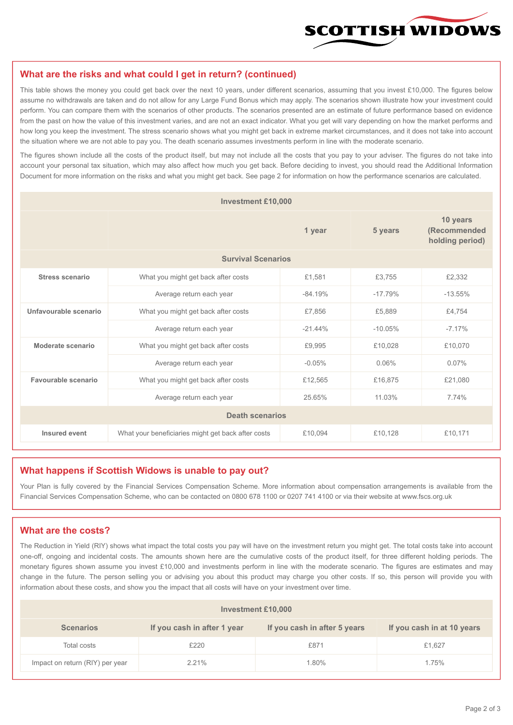

#### **What are the risks and what could I get in return? (continued)**

This table shows the money you could get back over the next 10 years, under different scenarios, assuming that you invest £10,000. The figures below assume no withdrawals are taken and do not allow for any Large Fund Bonus which may apply. The scenarios shown illustrate how your investment could perform. You can compare them with the scenarios of other products. The scenarios presented are an estimate of future performance based on evidence from the past on how the value of this investment varies, and are not an exact indicator. What you get will vary depending on how the market performs and how long you keep the investment. The stress scenario shows what you might get back in extreme market circumstances, and it does not take into account the situation where we are not able to pay you. The death scenario assumes investments perform in line with the moderate scenario.

The figures shown include all the costs of the product itself, but may not include all the costs that you pay to your adviser. The figures do not take into account your personal tax situation, which may also affect how much you get back. Before deciding to invest, you should read the Additional Information Document for more information on the risks and what you might get back. See page 2 for information on how the performance scenarios are calculated.

| <b>Investment £10,000</b> |                                                    |           |                                             |           |  |  |
|---------------------------|----------------------------------------------------|-----------|---------------------------------------------|-----------|--|--|
|                           |                                                    | 5 years   | 10 years<br>(Recommended<br>holding period) |           |  |  |
| <b>Survival Scenarios</b> |                                                    |           |                                             |           |  |  |
| <b>Stress scenario</b>    | What you might get back after costs                | £1,581    | £3,755                                      | £2,332    |  |  |
|                           | Average return each year                           | $-84.19%$ | $-17.79%$                                   | $-13.55%$ |  |  |
| Unfavourable scenario     | What you might get back after costs<br>£7,856      |           | £5,889                                      | £4,754    |  |  |
|                           | Average return each year                           | $-2144%$  | $-10.05%$                                   | $-7.17%$  |  |  |
| Moderate scenario         | What you might get back after costs                | £9,995    | £10,028                                     | £10,070   |  |  |
|                           | Average return each year                           | $-0.05%$  | 0.06%                                       | $0.07\%$  |  |  |
| Favourable scenario       | What you might get back after costs                | £12,565   | £16,875                                     | £21,080   |  |  |
|                           | Average return each year                           |           | 11.03%                                      | 7.74%     |  |  |
| <b>Death scenarios</b>    |                                                    |           |                                             |           |  |  |
| Insured event             | What your beneficiaries might get back after costs | £10,094   | £10,128                                     | £10,171   |  |  |

#### **What happens if Scottish Widows is unable to pay out?**

Your Plan is fully covered by the Financial Services Compensation Scheme. More information about compensation arrangements is available from the Financial Services Compensation Scheme, who can be contacted on 0800 678 1100 or 0207 741 4100 or via their website at www.fscs.org.uk

## **What are the costs?**

The Reduction in Yield (RIY) shows what impact the total costs you pay will have on the investment return you might get. The total costs take into account one-off, ongoing and incidental costs. The amounts shown here are the cumulative costs of the product itself, for three different holding periods. The monetary figures shown assume you invest £10,000 and investments perform in line with the moderate scenario. The figures are estimates and may change in the future. The person selling you or advising you about this product may charge you other costs. If so, this person will provide you with information about these costs, and show you the impact that all costs will have on your investment over time.

| Investment £10,000              |                             |                              |                            |  |  |  |
|---------------------------------|-----------------------------|------------------------------|----------------------------|--|--|--|
| <b>Scenarios</b>                | If you cash in after 1 year | If you cash in after 5 years | If you cash in at 10 years |  |  |  |
| Total costs                     | £220                        | £871                         | £1,627                     |  |  |  |
| Impact on return (RIY) per year | 2.21%                       | 1.80%                        | 1.75%                      |  |  |  |